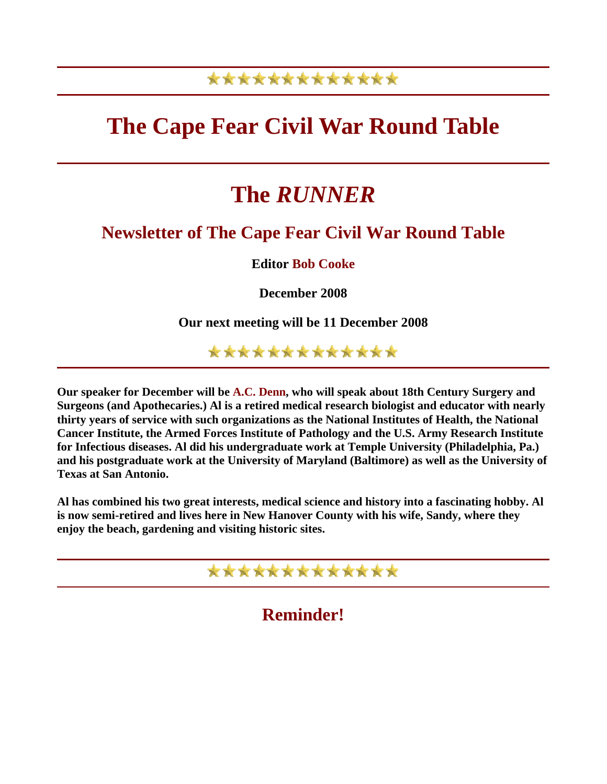## \*\*\*\*\*\*\*\*\*\*\*\*\*

# **The Cape Fear Civil War Round Table**

# **The** *RUNNER*

### **Newsletter of The Cape Fear Civil War Round Table**

**Editor Bob Cooke**

**December 2008** 

**Our next meeting will be 11 December 2008** 

\*\*\*\*\*\*\*\*\*\*\*\*\*

**Our speaker for December will be A.C. Denn, who will speak about 18th Century Surgery and Surgeons (and Apothecaries.) Al is a retired medical research biologist and educator with nearly thirty years of service with such organizations as the National Institutes of Health, the National Cancer Institute, the Armed Forces Institute of Pathology and the U.S. Army Research Institute for Infectious diseases. Al did his undergraduate work at Temple University (Philadelphia, Pa.) and his postgraduate work at the University of Maryland (Baltimore) as well as the University of Texas at San Antonio.** 

**Al has combined his two great interests, medical science and history into a fascinating hobby. Al is now semi-retired and lives here in New Hanover County with his wife, Sandy, where they enjoy the beach, gardening and visiting historic sites.** 



**Reminder!**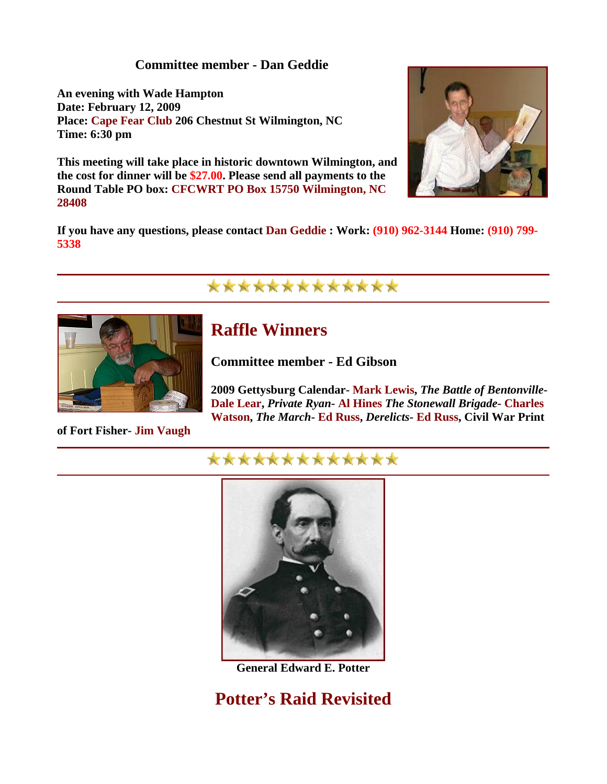#### **Committee member - Dan Geddie**

**An evening with Wade Hampton Date: February 12, 2009 Place: Cape Fear Club 206 Chestnut St Wilmington, NC Time: 6:30 pm** 

**This meeting will take place in historic downtown Wilmington, and the cost for dinner will be \$27.00. Please send all payments to the Round Table PO box: CFCWRT PO Box 15750 Wilmington, NC 28408** 



**If you have any questions, please contact Dan Geddie : Work: (910) 962-3144 Home: (910) 799- 5338** 

### \*\*\*\*\*\*\*\*\*\*\*\*\*



### **Raffle Winners**

**Committee member - Ed Gibson** 

**2009 Gettysburg Calendar- Mark Lewis,** *The Battle of Bentonville***-Dale Lear,** *Private Ryan***- Al Hines** *The Stonewall Brigade***- Charles Watson,** *The March***- Ed Russ,** *Derelicts***- Ed Russ, Civil War Print** 

#### **of Fort Fisher- Jim Vaugh**

### \*\*\*\*\*\*\*\*\*\*\*\*\*



**General Edward E. Potter** 

**Potter's Raid Revisited**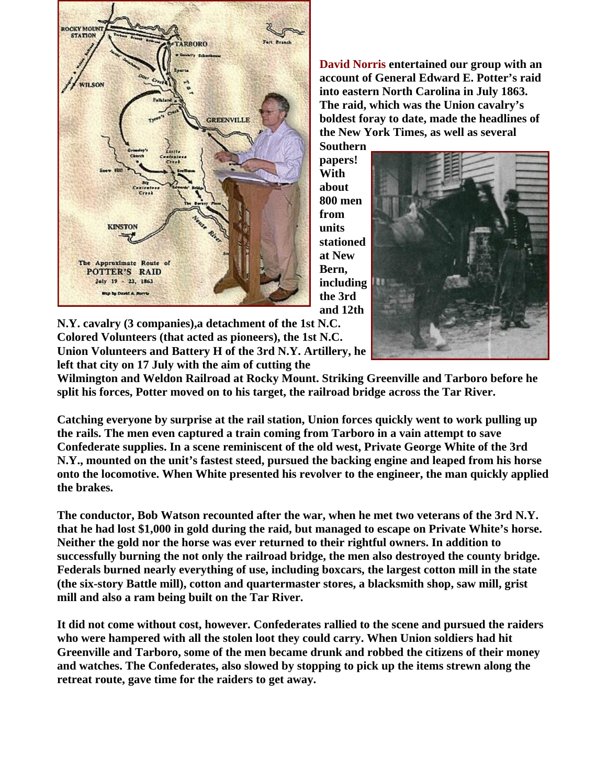

**David Norris entertained our group with an account of General Edward E. Potter's raid into eastern North Carolina in July 1863. The raid, which was the Union cavalry's boldest foray to date, made the headlines of the New York Times, as well as several** 

**Southern pa pers! With about 800 me n from units station ed at New Bern, includi ng the 3rd and 12th** 



**N.Y. cavalry (3 companies),a detachment of the 1st N.C. Colored Volunteers (that acted as pioneers), the 1st N.C. Union Volunteers and Battery H of the 3rd N.Y. Artill ery, he left that city on 17 July with the aim of cutting the** 

**Wilmington and Weldon Railroad at Rocky Mount. Striking Greenville and Tarboro before he split his forces, Potter moved on to his target, the railroad bridge across the Tar River.** 

**Catching everyone by surprise at the rail station, Union forces quickly went to work pulling up the rails. The men even captured a train coming from Tarboro in a vain attempt to save Confederate supplies. In a scene reminiscent of the old west, Private George White of the 3rd N.Y., mounted on the unit's fastest steed, pursued the backing engine and leaped from his horse onto the locomotive. When White presented his revolver to the engineer, the man quickly applied the brakes.** 

**The conductor, Bob Watson recounted after the war, when he met two veterans of the 3rd N.Y. that he had lost \$1,000 in gold during the raid, but managed to escape on Private White's horse. Neither the gold nor the horse was ever returned to their rightful owners. In addition to successfully burning the not only the railroad bridge, the men also destroyed the county bridge. Federals burned nearly everything of use, including boxcars, the largest cotton mill in the state (the six-story Battle mill), cotton and quartermaster stores, a blacksmith shop, saw mill, grist mill and also a ram being built on the Tar River.** 

**It did not come without cost, however. Confederates rallied to the scene and pursued the raiders who were hampered with all the stolen loot they could carry. When Union soldiers had hit Greenville and Tarboro, some of the men became drunk and robbed the citizens of their money and watches. The Confederates, also slowed by stopping to pick up the items strewn along the retreat route, gave time for the raiders to get away.**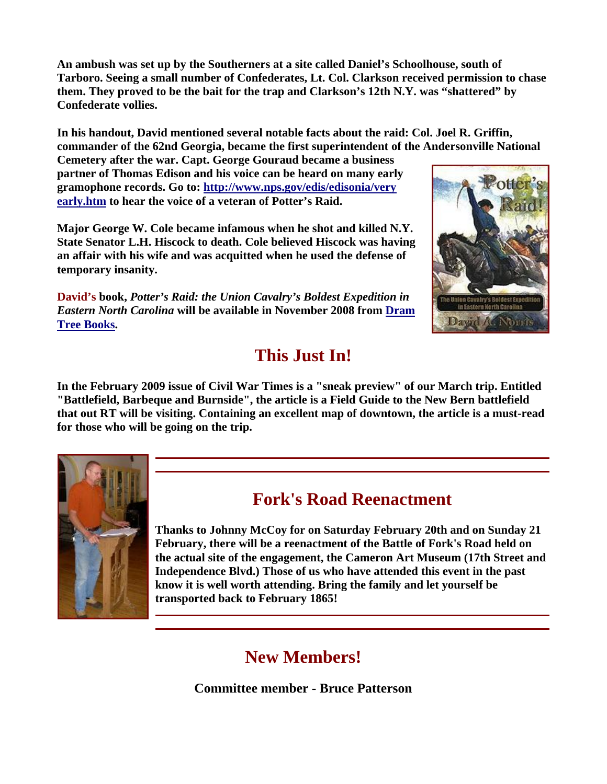**An ambush was set up by the Southerners at a site called Daniel's Schoolhouse, south of Tarboro. Seeing a small number of Confederates, Lt. Col. Clarkson received permission to chase them. They proved to be the bait for the trap and Clarkson's 12th N.Y. was "shattered" by Confederate vollies.** 

**In his handout, David mentioned several notable facts about the raid: Col. Joel R. Griffin, commander of the 62nd Georgia, became the first superintendent of the Andersonville National** 

**Cemetery after the war. Capt. George Gouraud became a business partner of Thomas Edison and his voice can be heard on many early gramophone records. Go to: [http://www.nps.gov/edis/edisonia/very](http://www.nps.gov/edis/edisonia/very_early.htm)  [early.htm](http://www.nps.gov/edis/edisonia/very_early.htm) to hear the voice of a veteran of Potter's Raid.** 

**Major George W. Cole became infamous when he shot and killed N.Y. State Senator L.H. Hiscock to death. Cole believed Hiscock was having an affair with his wife and was acquitted when he used the defense of temporary insanity.** 

**David's book,** *Potter's Raid: the Union Cavalry's Boldest Expedition in Eastern North Carolina* **will be available in November 2008 from [Dram](http://www.dramtreebooks.com/gallery/cat/dramtreetitles.html)  [Tree Books.](http://www.dramtreebooks.com/gallery/cat/dramtreetitles.html)** 

# **This Just In!**

**In the February 2009 issue of Civil War Times is a "sneak preview" of our March trip. Entitled "Battlefield, Barbeque and Burnside", the article is a Field Guide to the New Bern battlefield that out RT will be visiting. Containing an excellent map of downtown, the article is a must-read for those who will be going on the trip.** 



## **Fork's Road Reenactment**

**Thanks to Johnny McCoy for on Saturday February 20th and on Sunday 21 February, there will be a reenactment of the Battle of Fork's Road held on the actual site of the engagement, the Cameron Art Museum (17th Street and Independence Blvd.) Those of us who have attended this event in the past know it is well worth attending. Bring the family and let yourself be transported back to February 1865!** 

# **New Members!**

**Committee member - Bruce Patterson**